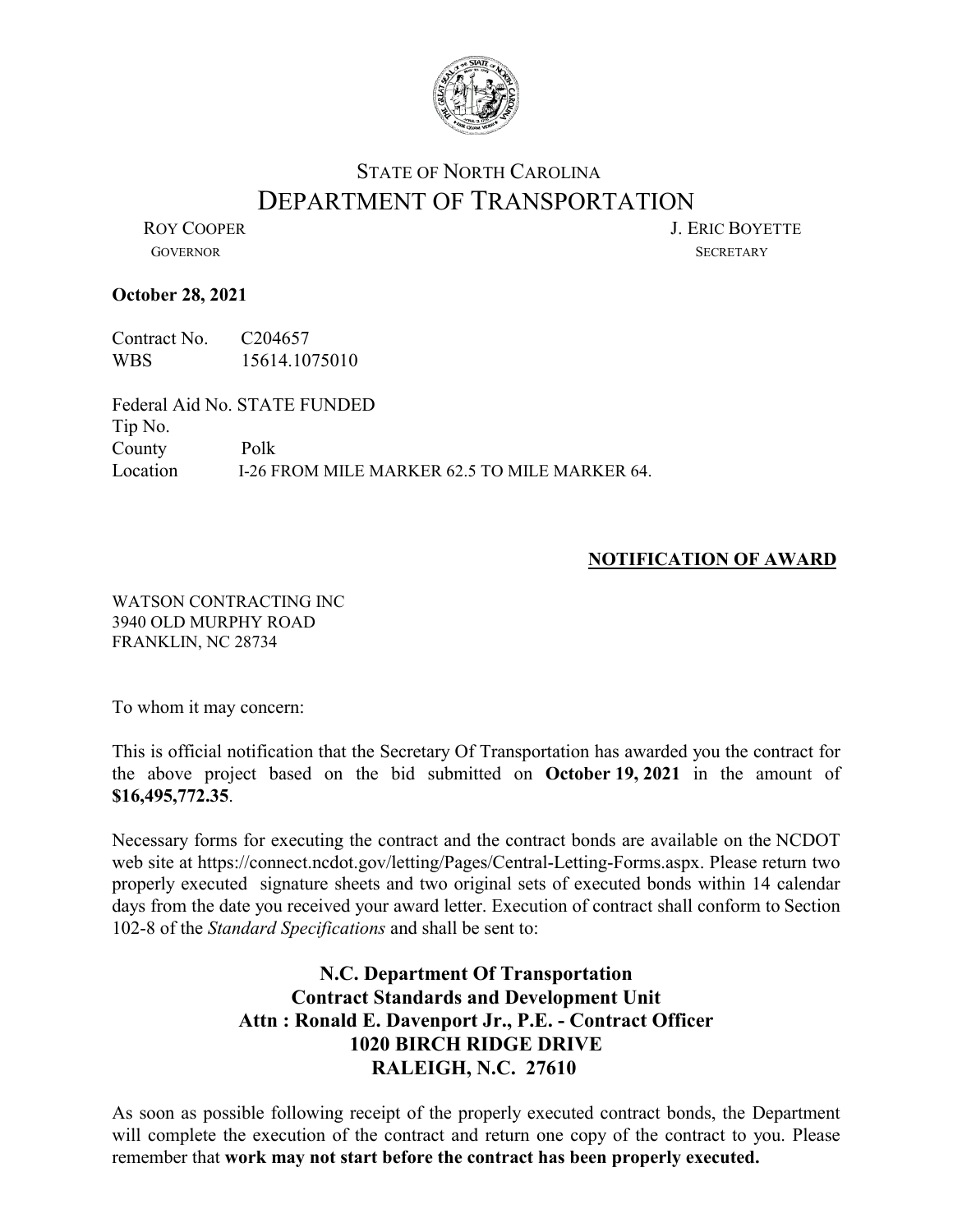

## STATE OF NORTH CAROLINA DEPARTMENT OF TRANSPORTATION<br>LERIC BOYETTE

GOVERNOR SECRETARY

## **October 28, 2021**

Contract No. C204657 WBS 15614.1075010

Federal Aid No. STATE FUNDED Tip No. County Polk Location I-26 FROM MILE MARKER 62.5 TO MILE MARKER 64.

## **NOTIFICATION OF AWARD**

WATSON CONTRACTING INC 3940 OLD MURPHY ROAD FRANKLIN, NC 28734

To whom it may concern:

This is official notification that the Secretary Of Transportation has awarded you the contract for the above project based on the bid submitted on **October 19, 2021** in the amount of **\$16,495,772.35**.

Necessary forms for executing the contract and the contract bonds are available on the NCDOT web site at https://connect.ncdot.gov/letting/Pages/Central-Letting-Forms.aspx. Please return two properly executed signature sheets and two original sets of executed bonds within 14 calendar days from the date you received your award letter. Execution of contract shall conform to Section 102-8 of the *Standard Specifications* and shall be sent to:

## **N.C. Department Of Transportation Contract Standards and Development Unit Attn : Ronald E. Davenport Jr., P.E. - Contract Officer 1020 BIRCH RIDGE DRIVE RALEIGH, N.C. 27610**

As soon as possible following receipt of the properly executed contract bonds, the Department will complete the execution of the contract and return one copy of the contract to you. Please remember that **work may not start before the contract has been properly executed.**